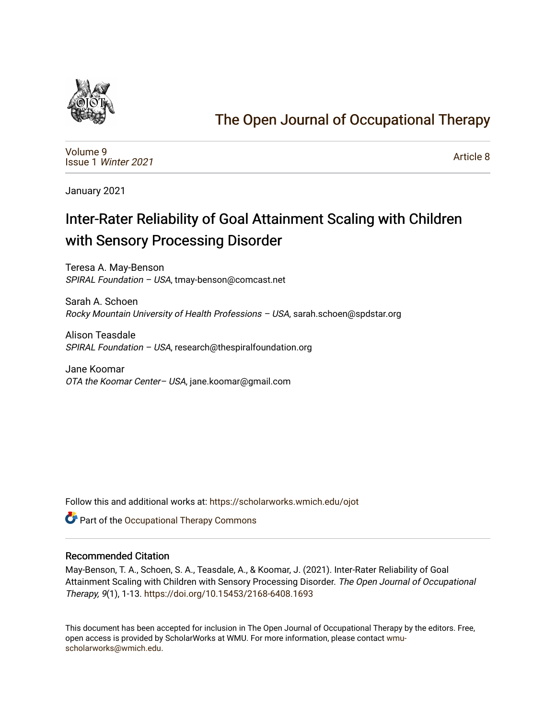

## [The Open Journal of Occupational Therapy](https://scholarworks.wmich.edu/ojot)

[Volume 9](https://scholarworks.wmich.edu/ojot/vol9) Issue 1 [Winter 2021](https://scholarworks.wmich.edu/ojot/vol9/iss1) 

[Article 8](https://scholarworks.wmich.edu/ojot/vol9/iss1/8) 

January 2021

# Inter-Rater Reliability of Goal Attainment Scaling with Children with Sensory Processing Disorder

Teresa A. May-Benson SPIRAL Foundation – USA, tmay-benson@comcast.net

Sarah A. Schoen Rocky Mountain University of Health Professions – USA, sarah.schoen@spdstar.org

Alison Teasdale SPIRAL Foundation – USA, research@thespiralfoundation.org

Jane Koomar OTA the Koomar Center– USA, jane.koomar@gmail.com

Follow this and additional works at: [https://scholarworks.wmich.edu/ojot](https://scholarworks.wmich.edu/ojot?utm_source=scholarworks.wmich.edu%2Fojot%2Fvol9%2Fiss1%2F8&utm_medium=PDF&utm_campaign=PDFCoverPages)

**C** Part of the Occupational Therapy Commons

#### Recommended Citation

May-Benson, T. A., Schoen, S. A., Teasdale, A., & Koomar, J. (2021). Inter-Rater Reliability of Goal Attainment Scaling with Children with Sensory Processing Disorder. The Open Journal of Occupational Therapy, 9(1), 1-13. <https://doi.org/10.15453/2168-6408.1693>

This document has been accepted for inclusion in The Open Journal of Occupational Therapy by the editors. Free, open access is provided by ScholarWorks at WMU. For more information, please contact [wmu](mailto:wmu-scholarworks@wmich.edu)[scholarworks@wmich.edu.](mailto:wmu-scholarworks@wmich.edu)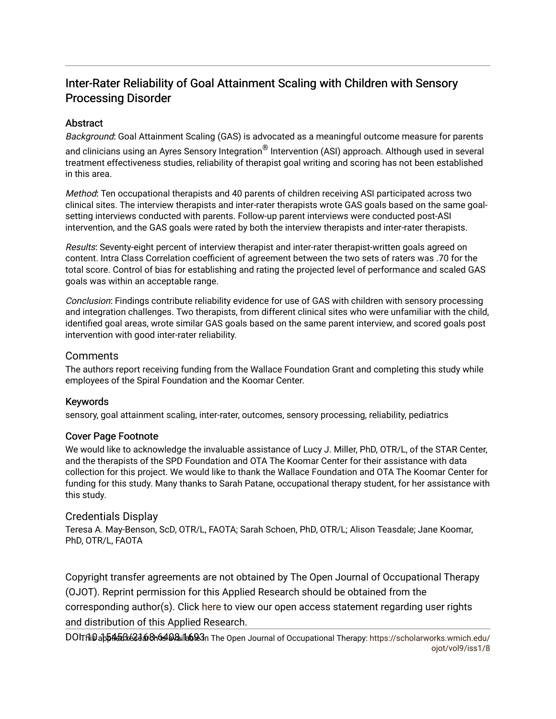## Inter-Rater Reliability of Goal Attainment Scaling with Children with Sensory Processing Disorder

## **Abstract**

Background: Goal Attainment Scaling (GAS) is advocated as a meaningful outcome measure for parents

and clinicians using an Ayres Sensory Integration<sup>®</sup> Intervention (ASI) approach. Although used in several treatment effectiveness studies, reliability of therapist goal writing and scoring has not been established in this area.

Method: Ten occupational therapists and 40 parents of children receiving ASI participated across two clinical sites. The interview therapists and inter-rater therapists wrote GAS goals based on the same goalsetting interviews conducted with parents. Follow-up parent interviews were conducted post-ASI intervention, and the GAS goals were rated by both the interview therapists and inter-rater therapists.

Results: Seventy-eight percent of interview therapist and inter-rater therapist-written goals agreed on content. Intra Class Correlation coefficient of agreement between the two sets of raters was .70 for the total score. Control of bias for establishing and rating the projected level of performance and scaled GAS goals was within an acceptable range.

Conclusion: Findings contribute reliability evidence for use of GAS with children with sensory processing and integration challenges. Two therapists, from different clinical sites who were unfamiliar with the child, identified goal areas, wrote similar GAS goals based on the same parent interview, and scored goals post intervention with good inter-rater reliability.

## Comments

The authors report receiving funding from the Wallace Foundation Grant and completing this study while employees of the Spiral Foundation and the Koomar Center.

## Keywords

sensory, goal attainment scaling, inter-rater, outcomes, sensory processing, reliability, pediatrics

## Cover Page Footnote

We would like to acknowledge the invaluable assistance of Lucy J. Miller, PhD, OTR/L, of the STAR Center, and the therapists of the SPD Foundation and OTA The Koomar Center for their assistance with data collection for this project. We would like to thank the Wallace Foundation and OTA The Koomar Center for funding for this study. Many thanks to Sarah Patane, occupational therapy student, for her assistance with this study.

## Credentials Display

Teresa A. May-Benson, ScD, OTR/L, FAOTA; Sarah Schoen, PhD, OTR/L; Alison Teasdale; Jane Koomar, PhD, OTR/L, FAOTA

Copyright transfer agreements are not obtained by The Open Journal of Occupational Therapy (OJOT). Reprint permission for this Applied Research should be obtained from the corresponding author(s). Click [here](https://scholarworks.wmich.edu/ojot/policies.html#rights) to view our open access statement regarding user rights and distribution of this Applied Research.

DOITfli9app4&Bxk23&8h649&ule6&3n The Open Journal of Occupational Therapy: [https://scholarworks.wmich.edu/](https://scholarworks.wmich.edu/ojot/vol9/iss1/8) [ojot/vol9/iss1/8](https://scholarworks.wmich.edu/ojot/vol9/iss1/8)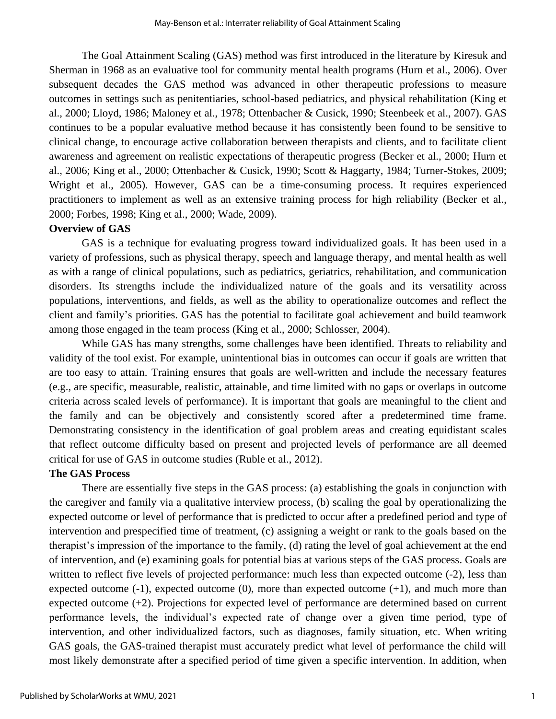The Goal Attainment Scaling (GAS) method was first introduced in the literature by Kiresuk and Sherman in 1968 as an evaluative tool for community mental health programs (Hurn et al., 2006). Over subsequent decades the GAS method was advanced in other therapeutic professions to measure outcomes in settings such as penitentiaries, school-based pediatrics, and physical rehabilitation (King et al., 2000; Lloyd, 1986; Maloney et al., 1978; Ottenbacher & Cusick, 1990; Steenbeek et al., 2007). GAS continues to be a popular evaluative method because it has consistently been found to be sensitive to clinical change, to encourage active collaboration between therapists and clients, and to facilitate client awareness and agreement on realistic expectations of therapeutic progress (Becker et al., 2000; Hurn et al., 2006; King et al., 2000; Ottenbacher & Cusick, 1990; Scott & Haggarty, 1984; Turner-Stokes, 2009; Wright et al., 2005). However, GAS can be a time-consuming process. It requires experienced practitioners to implement as well as an extensive training process for high reliability (Becker et al., 2000; Forbes, 1998; King et al., 2000; Wade, 2009).

#### **Overview of GAS**

GAS is a technique for evaluating progress toward individualized goals. It has been used in a variety of professions, such as physical therapy, speech and language therapy, and mental health as well as with a range of clinical populations, such as pediatrics, geriatrics, rehabilitation, and communication disorders. Its strengths include the individualized nature of the goals and its versatility across populations, interventions, and fields, as well as the ability to operationalize outcomes and reflect the client and family's priorities. GAS has the potential to facilitate goal achievement and build teamwork among those engaged in the team process (King et al., 2000; Schlosser, 2004).

While GAS has many strengths, some challenges have been identified. Threats to reliability and validity of the tool exist. For example, unintentional bias in outcomes can occur if goals are written that are too easy to attain. Training ensures that goals are well-written and include the necessary features (e.g., are specific, measurable, realistic, attainable, and time limited with no gaps or overlaps in outcome criteria across scaled levels of performance). It is important that goals are meaningful to the client and the family and can be objectively and consistently scored after a predetermined time frame. Demonstrating consistency in the identification of goal problem areas and creating equidistant scales that reflect outcome difficulty based on present and projected levels of performance are all deemed critical for use of GAS in outcome studies (Ruble et al., 2012).

#### **The GAS Process**

There are essentially five steps in the GAS process: (a) establishing the goals in conjunction with the caregiver and family via a qualitative interview process, (b) scaling the goal by operationalizing the expected outcome or level of performance that is predicted to occur after a predefined period and type of intervention and prespecified time of treatment, (c) assigning a weight or rank to the goals based on the therapist's impression of the importance to the family, (d) rating the level of goal achievement at the end of intervention, and (e) examining goals for potential bias at various steps of the GAS process. Goals are written to reflect five levels of projected performance: much less than expected outcome  $(-2)$ , less than expected outcome  $(-1)$ , expected outcome  $(0)$ , more than expected outcome  $(+1)$ , and much more than expected outcome (+2). Projections for expected level of performance are determined based on current performance levels, the individual's expected rate of change over a given time period, type of intervention, and other individualized factors, such as diagnoses, family situation, etc. When writing GAS goals, the GAS-trained therapist must accurately predict what level of performance the child will most likely demonstrate after a specified period of time given a specific intervention. In addition, when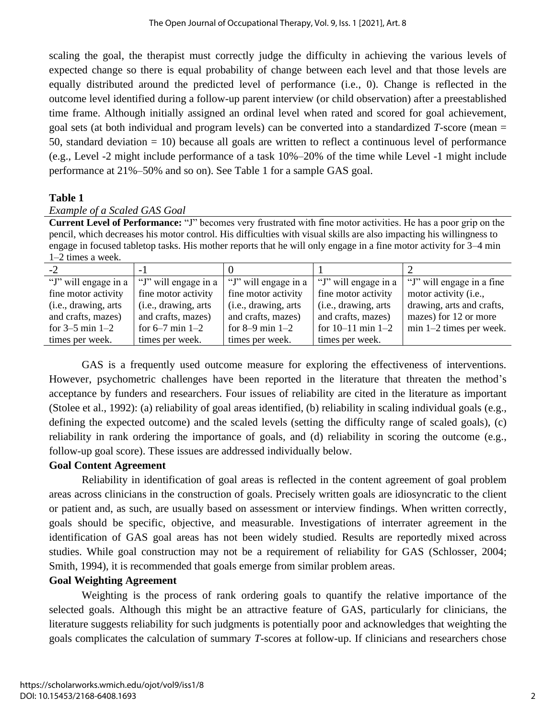scaling the goal, the therapist must correctly judge the difficulty in achieving the various levels of expected change so there is equal probability of change between each level and that those levels are equally distributed around the predicted level of performance (i.e., 0). Change is reflected in the outcome level identified during a follow-up parent interview (or child observation) after a preestablished time frame. Although initially assigned an ordinal level when rated and scored for goal achievement, goal sets (at both individual and program levels) can be converted into a standardized *T*-score (mean = 50, standard deviation = 10) because all goals are written to reflect a continuous level of performance (e.g., Level -2 might include performance of a task 10%–20% of the time while Level -1 might include performance at 21%–50% and so on). See Table 1 for a sample GAS goal.

## **Table 1**

## *Example of a Scaled GAS Goal*

**Current Level of Performance:** "J" becomes very frustrated with fine motor activities. He has a poor grip on the pencil, which decreases his motor control. His difficulties with visual skills are also impacting his willingness to engage in focused tabletop tasks. His mother reports that he will only engage in a fine motor activity for 3–4 min 1–2 times a week.

| $-2$                 |                      |                       |                       |                                |
|----------------------|----------------------|-----------------------|-----------------------|--------------------------------|
| "J" will engage in a | "J" will engage in a | "J" will engage in a  | "J" will engage in a  | "J" will engage in a fine"     |
| fine motor activity  | fine motor activity  | fine motor activity   | fine motor activity   | motor activity ( <i>i.e.</i> , |
| (i.e., drawing, arts | (i.e., drawing, arts | (i.e., drawing, arts) | (i.e., drawing, arts) | drawing, arts and crafts,      |
| and crafts, mazes)   | and crafts, mazes)   | and crafts, mazes)    | and crafts, mazes)    | mazes) for 12 or more          |
| for $3-5$ min $1-2$  | for $6-7$ min $1-2$  | for $8-9$ min $1-2$   | for $10-11$ min $1-2$ | $min 1-2 times per week.$      |
| times per week.      | times per week.      | times per week.       | times per week.       |                                |

GAS is a frequently used outcome measure for exploring the effectiveness of interventions. However, psychometric challenges have been reported in the literature that threaten the method's acceptance by funders and researchers. Four issues of reliability are cited in the literature as important (Stolee et al., 1992): (a) reliability of goal areas identified, (b) reliability in scaling individual goals (e.g., defining the expected outcome) and the scaled levels (setting the difficulty range of scaled goals), (c) reliability in rank ordering the importance of goals, and (d) reliability in scoring the outcome (e.g., follow-up goal score). These issues are addressed individually below.

## **Goal Content Agreement**

Reliability in identification of goal areas is reflected in the content agreement of goal problem areas across clinicians in the construction of goals. Precisely written goals are idiosyncratic to the client or patient and, as such, are usually based on assessment or interview findings. When written correctly, goals should be specific, objective, and measurable. Investigations of interrater agreement in the identification of GAS goal areas has not been widely studied. Results are reportedly mixed across studies. While goal construction may not be a requirement of reliability for GAS (Schlosser, 2004; Smith, 1994), it is recommended that goals emerge from similar problem areas.

## **Goal Weighting Agreement**

Weighting is the process of rank ordering goals to quantify the relative importance of the selected goals. Although this might be an attractive feature of GAS, particularly for clinicians, the literature suggests reliability for such judgments is potentially poor and acknowledges that weighting the goals complicates the calculation of summary *T*-scores at follow-up. If clinicians and researchers chose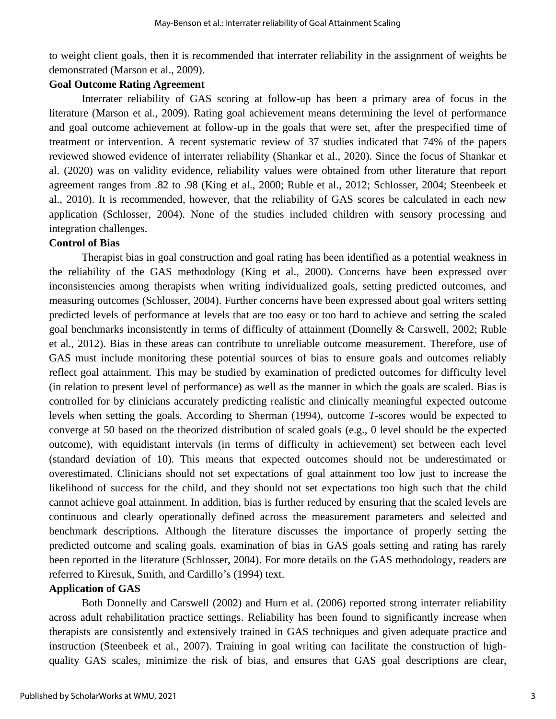to weight client goals, then it is recommended that interrater reliability in the assignment of weights be demonstrated (Marson et al., 2009).

## **Goal Outcome Rating Agreement**

Interrater reliability of GAS scoring at follow-up has been a primary area of focus in the literature (Marson et al., 2009). Rating goal achievement means determining the level of performance and goal outcome achievement at follow-up in the goals that were set, after the prespecified time of treatment or intervention. A recent systematic review of 37 studies indicated that 74% of the papers reviewed showed evidence of interrater reliability (Shankar et al., 2020). Since the focus of Shankar et al. (2020) was on validity evidence, reliability values were obtained from other literature that report agreement ranges from .82 to .98 (King et al., 2000; Ruble et al., 2012; Schlosser, 2004; Steenbeek et al., 2010). It is recommended, however, that the reliability of GAS scores be calculated in each new application (Schlosser, 2004). None of the studies included children with sensory processing and integration challenges.

## **Control of Bias**

Therapist bias in goal construction and goal rating has been identified as a potential weakness in the reliability of the GAS methodology (King et al., 2000). Concerns have been expressed over inconsistencies among therapists when writing individualized goals, setting predicted outcomes, and measuring outcomes (Schlosser, 2004). Further concerns have been expressed about goal writers setting predicted levels of performance at levels that are too easy or too hard to achieve and setting the scaled goal benchmarks inconsistently in terms of difficulty of attainment (Donnelly & Carswell, 2002; Ruble et al., 2012). Bias in these areas can contribute to unreliable outcome measurement. Therefore, use of GAS must include monitoring these potential sources of bias to ensure goals and outcomes reliably reflect goal attainment. This may be studied by examination of predicted outcomes for difficulty level (in relation to present level of performance) as well as the manner in which the goals are scaled. Bias is controlled for by clinicians accurately predicting realistic and clinically meaningful expected outcome levels when setting the goals. According to Sherman (1994), outcome *T-*scores would be expected to converge at 50 based on the theorized distribution of scaled goals (e.g., 0 level should be the expected outcome), with equidistant intervals (in terms of difficulty in achievement) set between each level (standard deviation of 10). This means that expected outcomes should not be underestimated or overestimated. Clinicians should not set expectations of goal attainment too low just to increase the likelihood of success for the child, and they should not set expectations too high such that the child cannot achieve goal attainment. In addition, bias is further reduced by ensuring that the scaled levels are continuous and clearly operationally defined across the measurement parameters and selected and benchmark descriptions. Although the literature discusses the importance of properly setting the predicted outcome and scaling goals, examination of bias in GAS goals setting and rating has rarely been reported in the literature (Schlosser, 2004). For more details on the GAS methodology, readers are referred to Kiresuk, Smith, and Cardillo's (1994) text.

## **Application of GAS**

Both Donnelly and Carswell (2002) and Hurn et al. (2006) reported strong interrater reliability across adult rehabilitation practice settings. Reliability has been found to significantly increase when therapists are consistently and extensively trained in GAS techniques and given adequate practice and instruction (Steenbeek et al., 2007). Training in goal writing can facilitate the construction of highquality GAS scales, minimize the risk of bias, and ensures that GAS goal descriptions are clear,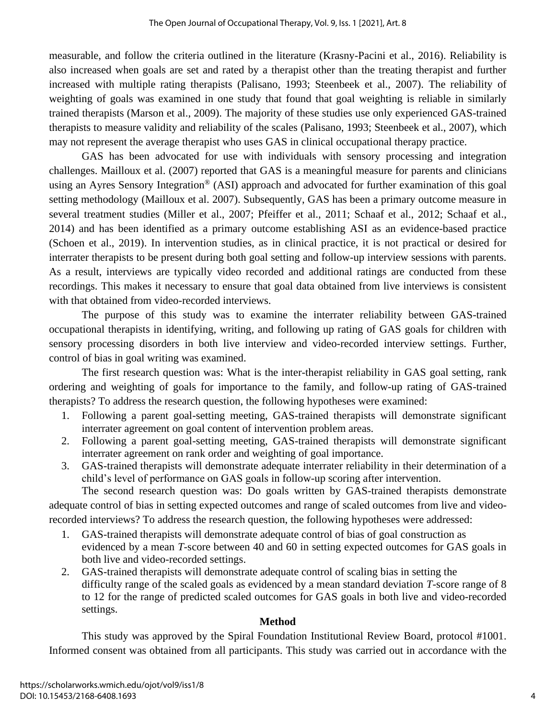measurable, and follow the criteria outlined in the literature (Krasny-Pacini et al., 2016). Reliability is also increased when goals are set and rated by a therapist other than the treating therapist and further increased with multiple rating therapists (Palisano, 1993; Steenbeek et al., 2007). The reliability of weighting of goals was examined in one study that found that goal weighting is reliable in similarly trained therapists (Marson et al., 2009). The majority of these studies use only experienced GAS-trained therapists to measure validity and reliability of the scales (Palisano, 1993; Steenbeek et al., 2007), which may not represent the average therapist who uses GAS in clinical occupational therapy practice.

GAS has been advocated for use with individuals with sensory processing and integration challenges. Mailloux et al. (2007) reported that GAS is a meaningful measure for parents and clinicians using an Ayres Sensory Integration® (ASI) approach and advocated for further examination of this goal setting methodology (Mailloux et al. 2007). Subsequently, GAS has been a primary outcome measure in several treatment studies (Miller et al., 2007; Pfeiffer et al., 2011; Schaaf et al., 2012; Schaaf et al., 2014) and has been identified as a primary outcome establishing ASI as an evidence-based practice (Schoen et al., 2019). In intervention studies, as in clinical practice, it is not practical or desired for interrater therapists to be present during both goal setting and follow-up interview sessions with parents. As a result, interviews are typically video recorded and additional ratings are conducted from these recordings. This makes it necessary to ensure that goal data obtained from live interviews is consistent with that obtained from video-recorded interviews.

The purpose of this study was to examine the interrater reliability between GAS-trained occupational therapists in identifying, writing, and following up rating of GAS goals for children with sensory processing disorders in both live interview and video-recorded interview settings. Further, control of bias in goal writing was examined.

The first research question was: What is the inter-therapist reliability in GAS goal setting, rank ordering and weighting of goals for importance to the family, and follow-up rating of GAS-trained therapists? To address the research question, the following hypotheses were examined:

- 1. Following a parent goal-setting meeting, GAS-trained therapists will demonstrate significant interrater agreement on goal content of intervention problem areas.
- 2. Following a parent goal-setting meeting, GAS-trained therapists will demonstrate significant interrater agreement on rank order and weighting of goal importance.
- 3. GAS-trained therapists will demonstrate adequate interrater reliability in their determination of a child's level of performance on GAS goals in follow-up scoring after intervention.

The second research question was: Do goals written by GAS-trained therapists demonstrate adequate control of bias in setting expected outcomes and range of scaled outcomes from live and videorecorded interviews? To address the research question, the following hypotheses were addressed:

- 1. GAS-trained therapists will demonstrate adequate control of bias of goal construction as evidenced by a mean *T-*score between 40 and 60 in setting expected outcomes for GAS goals in both live and video-recorded settings.
- 2. GAS-trained therapists will demonstrate adequate control of scaling bias in setting the difficulty range of the scaled goals as evidenced by a mean standard deviation *T*-score range of 8 to 12 for the range of predicted scaled outcomes for GAS goals in both live and video-recorded settings.

## **Method**

This study was approved by the Spiral Foundation Institutional Review Board, protocol #1001. Informed consent was obtained from all participants. This study was carried out in accordance with the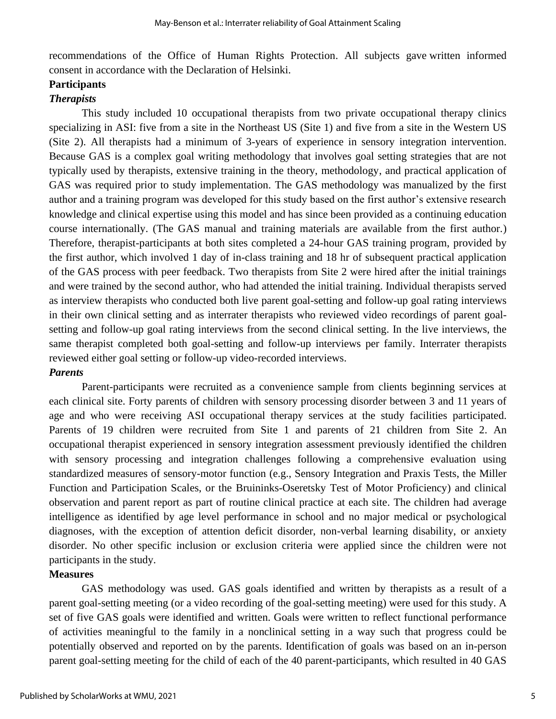recommendations of the Office of Human Rights Protection. All subjects gave written informed consent in accordance with the Declaration of Helsinki.

## **Participants**

## *Therapists*

This study included 10 occupational therapists from two private occupational therapy clinics specializing in ASI: five from a site in the Northeast US (Site 1) and five from a site in the Western US (Site 2). All therapists had a minimum of 3-years of experience in sensory integration intervention. Because GAS is a complex goal writing methodology that involves goal setting strategies that are not typically used by therapists, extensive training in the theory, methodology, and practical application of GAS was required prior to study implementation. The GAS methodology was manualized by the first author and a training program was developed for this study based on the first author's extensive research knowledge and clinical expertise using this model and has since been provided as a continuing education course internationally. (The GAS manual and training materials are available from the first author.) Therefore, therapist-participants at both sites completed a 24-hour GAS training program, provided by the first author, which involved 1 day of in-class training and 18 hr of subsequent practical application of the GAS process with peer feedback. Two therapists from Site 2 were hired after the initial trainings and were trained by the second author, who had attended the initial training. Individual therapists served as interview therapists who conducted both live parent goal-setting and follow-up goal rating interviews in their own clinical setting and as interrater therapists who reviewed video recordings of parent goalsetting and follow-up goal rating interviews from the second clinical setting. In the live interviews, the same therapist completed both goal-setting and follow-up interviews per family. Interrater therapists reviewed either goal setting or follow-up video-recorded interviews.

## *Parents*

Parent-participants were recruited as a convenience sample from clients beginning services at each clinical site. Forty parents of children with sensory processing disorder between 3 and 11 years of age and who were receiving ASI occupational therapy services at the study facilities participated. Parents of 19 children were recruited from Site 1 and parents of 21 children from Site 2. An occupational therapist experienced in sensory integration assessment previously identified the children with sensory processing and integration challenges following a comprehensive evaluation using standardized measures of sensory-motor function (e.g., Sensory Integration and Praxis Tests, the Miller Function and Participation Scales, or the Bruininks-Oseretsky Test of Motor Proficiency) and clinical observation and parent report as part of routine clinical practice at each site. The children had average intelligence as identified by age level performance in school and no major medical or psychological diagnoses, with the exception of attention deficit disorder, non-verbal learning disability, or anxiety disorder. No other specific inclusion or exclusion criteria were applied since the children were not participants in the study.

#### **Measures**

GAS methodology was used. GAS goals identified and written by therapists as a result of a parent goal-setting meeting (or a video recording of the goal-setting meeting) were used for this study. A set of five GAS goals were identified and written. Goals were written to reflect functional performance of activities meaningful to the family in a nonclinical setting in a way such that progress could be potentially observed and reported on by the parents. Identification of goals was based on an in-person parent goal-setting meeting for the child of each of the 40 parent-participants, which resulted in 40 GAS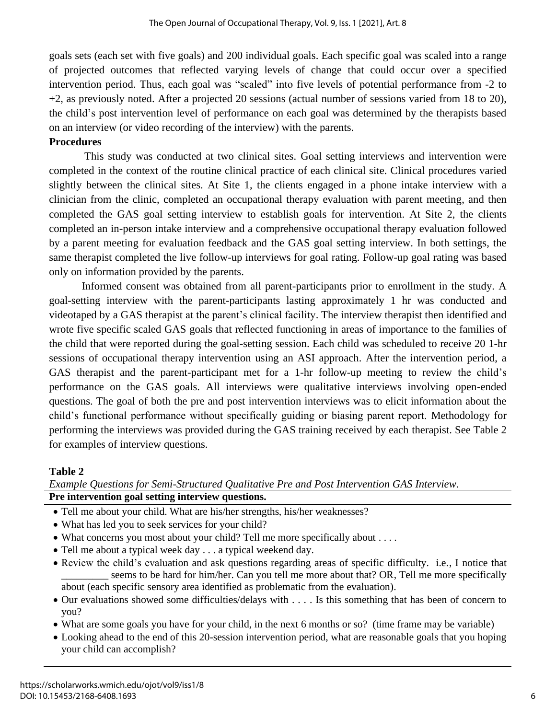goals sets (each set with five goals) and 200 individual goals. Each specific goal was scaled into a range of projected outcomes that reflected varying levels of change that could occur over a specified intervention period. Thus, each goal was "scaled" into five levels of potential performance from -2 to +2, as previously noted. After a projected 20 sessions (actual number of sessions varied from 18 to 20), the child's post intervention level of performance on each goal was determined by the therapists based on an interview (or video recording of the interview) with the parents.

## **Procedures**

This study was conducted at two clinical sites. Goal setting interviews and intervention were completed in the context of the routine clinical practice of each clinical site. Clinical procedures varied slightly between the clinical sites. At Site 1, the clients engaged in a phone intake interview with a clinician from the clinic, completed an occupational therapy evaluation with parent meeting, and then completed the GAS goal setting interview to establish goals for intervention. At Site 2, the clients completed an in-person intake interview and a comprehensive occupational therapy evaluation followed by a parent meeting for evaluation feedback and the GAS goal setting interview. In both settings, the same therapist completed the live follow-up interviews for goal rating. Follow-up goal rating was based only on information provided by the parents.

Informed consent was obtained from all parent-participants prior to enrollment in the study. A goal-setting interview with the parent-participants lasting approximately 1 hr was conducted and videotaped by a GAS therapist at the parent's clinical facility. The interview therapist then identified and wrote five specific scaled GAS goals that reflected functioning in areas of importance to the families of the child that were reported during the goal-setting session. Each child was scheduled to receive 20 1-hr sessions of occupational therapy intervention using an ASI approach. After the intervention period, a GAS therapist and the parent-participant met for a 1-hr follow-up meeting to review the child's performance on the GAS goals. All interviews were qualitative interviews involving open-ended questions. The goal of both the pre and post intervention interviews was to elicit information about the child's functional performance without specifically guiding or biasing parent report. Methodology for performing the interviews was provided during the GAS training received by each therapist. See Table 2 for examples of interview questions.

## **Table 2**

## *Example Questions for Semi-Structured Qualitative Pre and Post Intervention GAS Interview.* **Pre intervention goal setting interview questions.**

- Tell me about your child. What are his/her strengths, his/her weaknesses?
- What has led you to seek services for your child?
- What concerns you most about your child? Tell me more specifically about . . . .
- Tell me about a typical week day . . . a typical weekend day.
- Review the child's evaluation and ask questions regarding areas of specific difficulty. i.e., I notice that seems to be hard for him/her. Can you tell me more about that? OR, Tell me more specifically about (each specific sensory area identified as problematic from the evaluation).
- Our evaluations showed some difficulties/delays with . . . . Is this something that has been of concern to you?
- What are some goals you have for your child, in the next 6 months or so? (time frame may be variable)
- Looking ahead to the end of this 20-session intervention period, what are reasonable goals that you hoping your child can accomplish?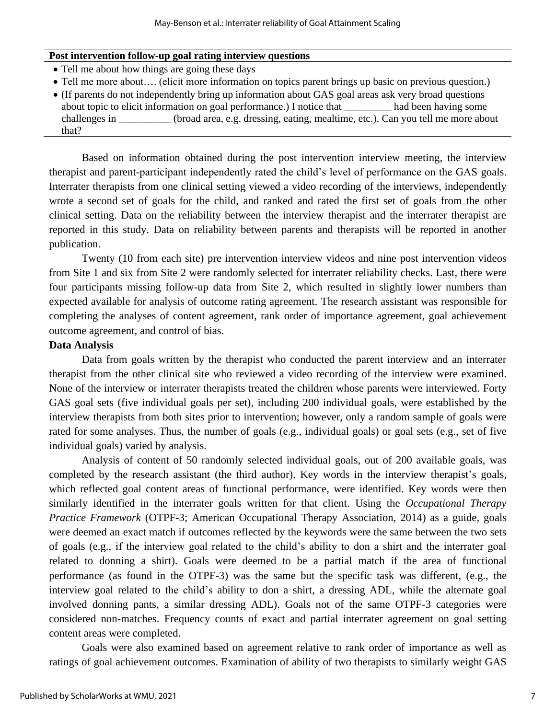#### **Post intervention follow-up goal rating interview questions**

- Tell me about how things are going these days
- Tell me more about…. (elicit more information on topics parent brings up basic on previous question.)
- (If parents do not independently bring up information about GAS goal areas ask very broad questions about topic to elicit information on goal performance.) I notice that \_\_\_\_\_\_\_\_\_ had been having some challenges in \_\_\_\_\_\_\_\_\_\_ (broad area, e.g. dressing, eating, mealtime, etc.). Can you tell me more about that?

Based on information obtained during the post intervention interview meeting, the interview therapist and parent-participant independently rated the child's level of performance on the GAS goals. Interrater therapists from one clinical setting viewed a video recording of the interviews, independently wrote a second set of goals for the child, and ranked and rated the first set of goals from the other clinical setting. Data on the reliability between the interview therapist and the interrater therapist are reported in this study. Data on reliability between parents and therapists will be reported in another publication.

Twenty (10 from each site) pre intervention interview videos and nine post intervention videos from Site 1 and six from Site 2 were randomly selected for interrater reliability checks. Last, there were four participants missing follow-up data from Site 2, which resulted in slightly lower numbers than expected available for analysis of outcome rating agreement. The research assistant was responsible for completing the analyses of content agreement, rank order of importance agreement, goal achievement outcome agreement, and control of bias.

## **Data Analysis**

Data from goals written by the therapist who conducted the parent interview and an interrater therapist from the other clinical site who reviewed a video recording of the interview were examined. None of the interview or interrater therapists treated the children whose parents were interviewed. Forty GAS goal sets (five individual goals per set), including 200 individual goals, were established by the interview therapists from both sites prior to intervention; however, only a random sample of goals were rated for some analyses. Thus, the number of goals (e.g., individual goals) or goal sets (e.g., set of five individual goals) varied by analysis.

Analysis of content of 50 randomly selected individual goals, out of 200 available goals, was completed by the research assistant (the third author). Key words in the interview therapist's goals, which reflected goal content areas of functional performance, were identified. Key words were then similarly identified in the interrater goals written for that client. Using the *Occupational Therapy Practice Framework* (OTPF-3; American Occupational Therapy Association, 2014) as a guide, goals were deemed an exact match if outcomes reflected by the keywords were the same between the two sets of goals (e.g., if the interview goal related to the child's ability to don a shirt and the interrater goal related to donning a shirt). Goals were deemed to be a partial match if the area of functional performance (as found in the OTPF-3) was the same but the specific task was different, (e.g., the interview goal related to the child's ability to don a shirt, a dressing ADL, while the alternate goal involved donning pants, a similar dressing ADL). Goals not of the same OTPF-3 categories were considered non-matches. Frequency counts of exact and partial interrater agreement on goal setting content areas were completed.

Goals were also examined based on agreement relative to rank order of importance as well as ratings of goal achievement outcomes. Examination of ability of two therapists to similarly weight GAS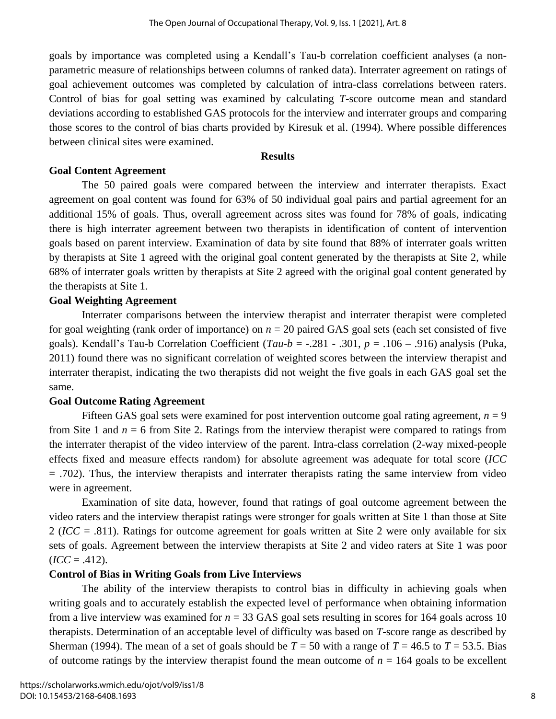goals by importance was completed using a Kendall's Tau-b correlation coefficient analyses (a nonparametric measure of relationships between columns of ranked data). Interrater agreement on ratings of goal achievement outcomes was completed by calculation of intra-class correlations between raters. Control of bias for goal setting was examined by calculating *T*-score outcome mean and standard deviations according to established GAS protocols for the interview and interrater groups and comparing those scores to the control of bias charts provided by Kiresuk et al. (1994). Where possible differences between clinical sites were examined.

#### **Results**

### **Goal Content Agreement**

The 50 paired goals were compared between the interview and interrater therapists. Exact agreement on goal content was found for 63% of 50 individual goal pairs and partial agreement for an additional 15% of goals. Thus, overall agreement across sites was found for 78% of goals, indicating there is high interrater agreement between two therapists in identification of content of intervention goals based on parent interview. Examination of data by site found that 88% of interrater goals written by therapists at Site 1 agreed with the original goal content generated by the therapists at Site 2, while 68% of interrater goals written by therapists at Site 2 agreed with the original goal content generated by the therapists at Site 1.

## **Goal Weighting Agreement**

Interrater comparisons between the interview therapist and interrater therapist were completed for goal weighting (rank order of importance) on  $n = 20$  paired GAS goal sets (each set consisted of five goals). Kendall's Tau-b Correlation Coefficient (*Tau-b* = -.281 - .301, *p* = .106 – .916) analysis (Puka, 2011) found there was no significant correlation of weighted scores between the interview therapist and interrater therapist, indicating the two therapists did not weight the five goals in each GAS goal set the same.

## **Goal Outcome Rating Agreement**

Fifteen GAS goal sets were examined for post intervention outcome goal rating agreement,  $n = 9$ from Site 1 and  $n = 6$  from Site 2. Ratings from the interview therapist were compared to ratings from the interrater therapist of the video interview of the parent. Intra-class correlation (2-way mixed-people effects fixed and measure effects random) for absolute agreement was adequate for total score (*ICC* = .702). Thus, the interview therapists and interrater therapists rating the same interview from video were in agreement.

Examination of site data, however, found that ratings of goal outcome agreement between the video raters and the interview therapist ratings were stronger for goals written at Site 1 than those at Site 2 (*ICC* = .811). Ratings for outcome agreement for goals written at Site 2 were only available for six sets of goals. Agreement between the interview therapists at Site 2 and video raters at Site 1 was poor  $$ 

## **Control of Bias in Writing Goals from Live Interviews**

The ability of the interview therapists to control bias in difficulty in achieving goals when writing goals and to accurately establish the expected level of performance when obtaining information from a live interview was examined for  $n = 33$  GAS goal sets resulting in scores for 164 goals across 10 therapists. Determination of an acceptable level of difficulty was based on *T-*score range as described by Sherman (1994). The mean of a set of goals should be  $T = 50$  with a range of  $T = 46.5$  to  $T = 53.5$ . Bias of outcome ratings by the interview therapist found the mean outcome of  $n = 164$  goals to be excellent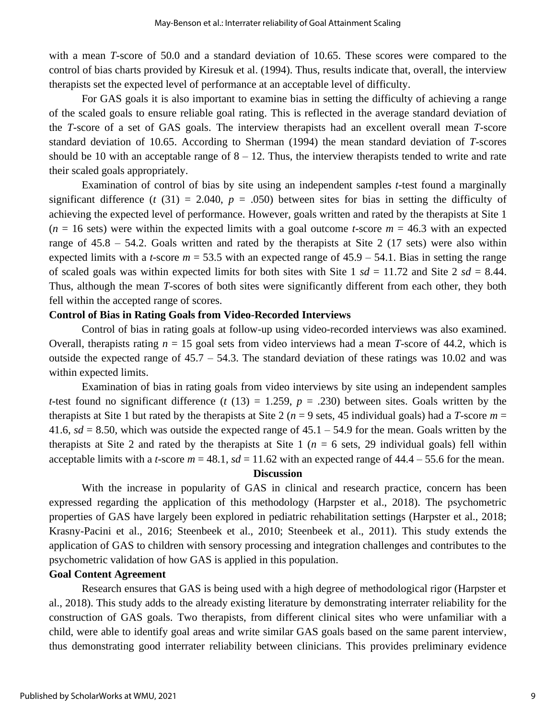with a mean *T-*score of 50.0 and a standard deviation of 10.65. These scores were compared to the control of bias charts provided by Kiresuk et al. (1994). Thus, results indicate that, overall, the interview therapists set the expected level of performance at an acceptable level of difficulty.

For GAS goals it is also important to examine bias in setting the difficulty of achieving a range of the scaled goals to ensure reliable goal rating. This is reflected in the average standard deviation of the *T*-score of a set of GAS goals. The interview therapists had an excellent overall mean *T*-score standard deviation of 10.65. According to Sherman (1994) the mean standard deviation of *T*-scores should be 10 with an acceptable range of  $8 - 12$ . Thus, the interview therapists tended to write and rate their scaled goals appropriately.

Examination of control of bias by site using an independent samples *t*-test found a marginally significant difference ( $t$  (31) = 2.040,  $p = .050$ ) between sites for bias in setting the difficulty of achieving the expected level of performance. However, goals written and rated by the therapists at Site 1  $(n = 16 \text{ sets})$  were within the expected limits with a goal outcome *t*-score  $m = 46.3$  with an expected range of  $45.8 - 54.2$ . Goals written and rated by the therapists at Site 2 (17 sets) were also within expected limits with a *t*-score  $m = 53.5$  with an expected range of  $45.9 - 54.1$ . Bias in setting the range of scaled goals was within expected limits for both sites with Site 1  $sd = 11.72$  and Site 2  $sd = 8.44$ . Thus, although the mean *T*-scores of both sites were significantly different from each other, they both fell within the accepted range of scores.

#### **Control of Bias in Rating Goals from Video-Recorded Interviews**

Control of bias in rating goals at follow-up using video-recorded interviews was also examined. Overall, therapists rating  $n = 15$  goal sets from video interviews had a mean *T*-score of 44.2, which is outside the expected range of  $45.7 - 54.3$ . The standard deviation of these ratings was 10.02 and was within expected limits.

Examination of bias in rating goals from video interviews by site using an independent samples *t*-test found no significant difference (*t* (13) = 1.259,  $p = .230$ ) between sites. Goals written by the therapists at Site 1 but rated by the therapists at Site 2 ( $n = 9$  sets, 45 individual goals) had a *T*-score  $m =$ 41.6,  $sd = 8.50$ , which was outside the expected range of  $45.1 - 54.9$  for the mean. Goals written by the therapists at Site 2 and rated by the therapists at Site 1 ( $n = 6$  sets, 29 individual goals) fell within acceptable limits with a *t*-score  $m = 48.1$ ,  $sd = 11.62$  with an expected range of  $44.4 - 55.6$  for the mean.

#### **Discussion**

With the increase in popularity of GAS in clinical and research practice, concern has been expressed regarding the application of this methodology (Harpster et al., 2018). The psychometric properties of GAS have largely been explored in pediatric rehabilitation settings (Harpster et al., 2018; Krasny-Pacini et al., 2016; Steenbeek et al., 2010; Steenbeek et al., 2011). This study extends the application of GAS to children with sensory processing and integration challenges and contributes to the psychometric validation of how GAS is applied in this population.

#### **Goal Content Agreement**

Research ensures that GAS is being used with a high degree of methodological rigor (Harpster et al., 2018). This study adds to the already existing literature by demonstrating interrater reliability for the construction of GAS goals. Two therapists, from different clinical sites who were unfamiliar with a child, were able to identify goal areas and write similar GAS goals based on the same parent interview, thus demonstrating good interrater reliability between clinicians. This provides preliminary evidence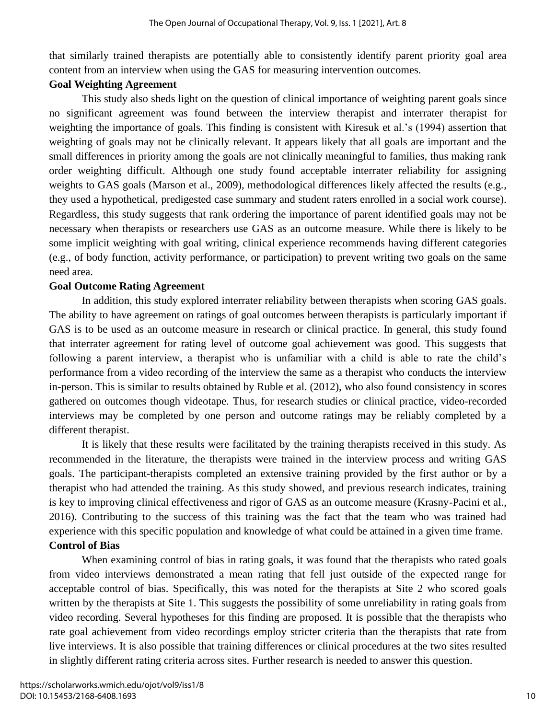that similarly trained therapists are potentially able to consistently identify parent priority goal area content from an interview when using the GAS for measuring intervention outcomes.

## **Goal Weighting Agreement**

This study also sheds light on the question of clinical importance of weighting parent goals since no significant agreement was found between the interview therapist and interrater therapist for weighting the importance of goals. This finding is consistent with Kiresuk et al.'s (1994) assertion that weighting of goals may not be clinically relevant. It appears likely that all goals are important and the small differences in priority among the goals are not clinically meaningful to families, thus making rank order weighting difficult. Although one study found acceptable interrater reliability for assigning weights to GAS goals (Marson et al., 2009), methodological differences likely affected the results (e.g., they used a hypothetical, predigested case summary and student raters enrolled in a social work course). Regardless, this study suggests that rank ordering the importance of parent identified goals may not be necessary when therapists or researchers use GAS as an outcome measure. While there is likely to be some implicit weighting with goal writing, clinical experience recommends having different categories (e.g., of body function, activity performance, or participation) to prevent writing two goals on the same need area.

## **Goal Outcome Rating Agreement**

In addition, this study explored interrater reliability between therapists when scoring GAS goals. The ability to have agreement on ratings of goal outcomes between therapists is particularly important if GAS is to be used as an outcome measure in research or clinical practice. In general, this study found that interrater agreement for rating level of outcome goal achievement was good. This suggests that following a parent interview, a therapist who is unfamiliar with a child is able to rate the child's performance from a video recording of the interview the same as a therapist who conducts the interview in-person. This is similar to results obtained by Ruble et al. (2012), who also found consistency in scores gathered on outcomes though videotape. Thus, for research studies or clinical practice, video-recorded interviews may be completed by one person and outcome ratings may be reliably completed by a different therapist.

It is likely that these results were facilitated by the training therapists received in this study. As recommended in the literature, the therapists were trained in the interview process and writing GAS goals. The participant-therapists completed an extensive training provided by the first author or by a therapist who had attended the training. As this study showed, and previous research indicates, training is key to improving clinical effectiveness and rigor of GAS as an outcome measure (Krasny-Pacini et al., 2016). Contributing to the success of this training was the fact that the team who was trained had experience with this specific population and knowledge of what could be attained in a given time frame. **Control of Bias**

When examining control of bias in rating goals, it was found that the therapists who rated goals from video interviews demonstrated a mean rating that fell just outside of the expected range for acceptable control of bias. Specifically, this was noted for the therapists at Site 2 who scored goals written by the therapists at Site 1. This suggests the possibility of some unreliability in rating goals from video recording. Several hypotheses for this finding are proposed. It is possible that the therapists who rate goal achievement from video recordings employ stricter criteria than the therapists that rate from live interviews. It is also possible that training differences or clinical procedures at the two sites resulted in slightly different rating criteria across sites. Further research is needed to answer this question.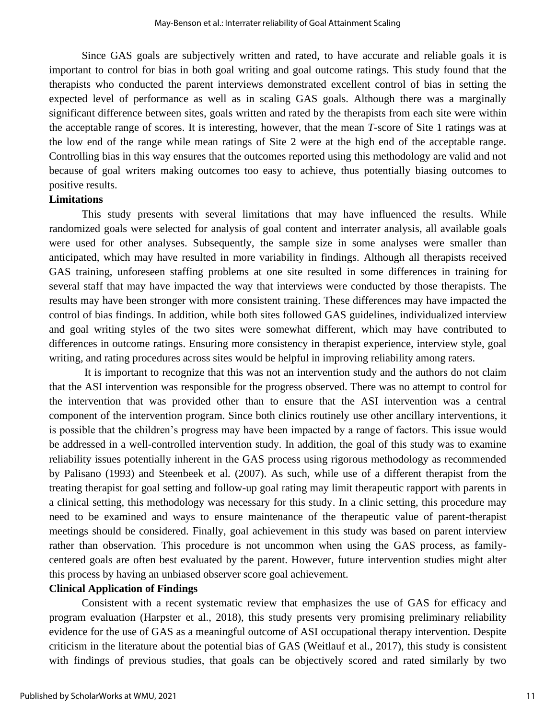Since GAS goals are subjectively written and rated, to have accurate and reliable goals it is important to control for bias in both goal writing and goal outcome ratings. This study found that the therapists who conducted the parent interviews demonstrated excellent control of bias in setting the expected level of performance as well as in scaling GAS goals. Although there was a marginally significant difference between sites, goals written and rated by the therapists from each site were within the acceptable range of scores. It is interesting, however, that the mean *T*-score of Site 1 ratings was at the low end of the range while mean ratings of Site 2 were at the high end of the acceptable range. Controlling bias in this way ensures that the outcomes reported using this methodology are valid and not because of goal writers making outcomes too easy to achieve, thus potentially biasing outcomes to positive results.

#### **Limitations**

This study presents with several limitations that may have influenced the results. While randomized goals were selected for analysis of goal content and interrater analysis, all available goals were used for other analyses. Subsequently, the sample size in some analyses were smaller than anticipated, which may have resulted in more variability in findings. Although all therapists received GAS training, unforeseen staffing problems at one site resulted in some differences in training for several staff that may have impacted the way that interviews were conducted by those therapists. The results may have been stronger with more consistent training. These differences may have impacted the control of bias findings. In addition, while both sites followed GAS guidelines, individualized interview and goal writing styles of the two sites were somewhat different, which may have contributed to differences in outcome ratings. Ensuring more consistency in therapist experience, interview style, goal writing, and rating procedures across sites would be helpful in improving reliability among raters.

It is important to recognize that this was not an intervention study and the authors do not claim that the ASI intervention was responsible for the progress observed. There was no attempt to control for the intervention that was provided other than to ensure that the ASI intervention was a central component of the intervention program. Since both clinics routinely use other ancillary interventions, it is possible that the children's progress may have been impacted by a range of factors. This issue would be addressed in a well-controlled intervention study. In addition, the goal of this study was to examine reliability issues potentially inherent in the GAS process using rigorous methodology as recommended by Palisano (1993) and Steenbeek et al. (2007). As such, while use of a different therapist from the treating therapist for goal setting and follow-up goal rating may limit therapeutic rapport with parents in a clinical setting, this methodology was necessary for this study. In a clinic setting, this procedure may need to be examined and ways to ensure maintenance of the therapeutic value of parent-therapist meetings should be considered. Finally, goal achievement in this study was based on parent interview rather than observation. This procedure is not uncommon when using the GAS process, as familycentered goals are often best evaluated by the parent. However, future intervention studies might alter this process by having an unbiased observer score goal achievement.

## **Clinical Application of Findings**

Consistent with a recent systematic review that emphasizes the use of GAS for efficacy and program evaluation (Harpster et al., 2018), this study presents very promising preliminary reliability evidence for the use of GAS as a meaningful outcome of ASI occupational therapy intervention. Despite criticism in the literature about the potential bias of GAS (Weitlauf et al., 2017), this study is consistent with findings of previous studies, that goals can be objectively scored and rated similarly by two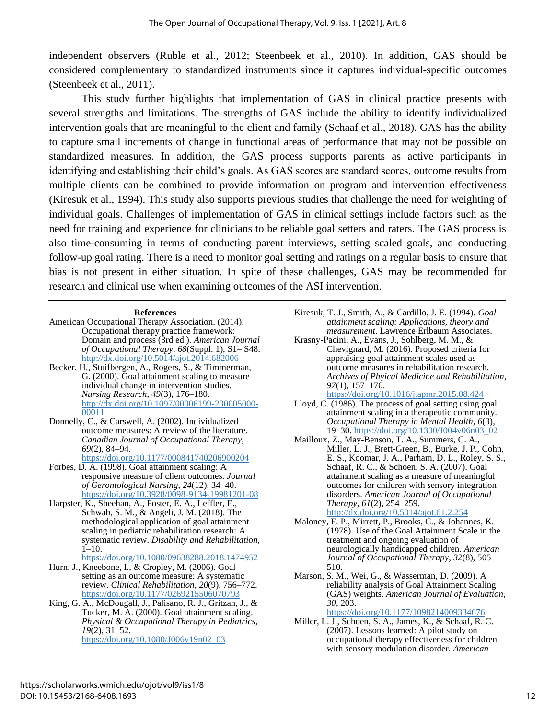independent observers (Ruble et al., 2012; Steenbeek et al., 2010). In addition, GAS should be considered complementary to standardized instruments since it captures individual-specific outcomes (Steenbeek et al., 2011).

This study further highlights that implementation of GAS in clinical practice presents with several strengths and limitations. The strengths of GAS include the ability to identify individualized intervention goals that are meaningful to the client and family (Schaaf et al., 2018). GAS has the ability to capture small increments of change in functional areas of performance that may not be possible on standardized measures. In addition, the GAS process supports parents as active participants in identifying and establishing their child's goals. As GAS scores are standard scores, outcome results from multiple clients can be combined to provide information on program and intervention effectiveness (Kiresuk et al., 1994). This study also supports previous studies that challenge the need for weighting of individual goals. Challenges of implementation of GAS in clinical settings include factors such as the need for training and experience for clinicians to be reliable goal setters and raters. The GAS process is also time-consuming in terms of conducting parent interviews, setting scaled goals, and conducting follow-up goal rating. There is a need to monitor goal setting and ratings on a regular basis to ensure that bias is not present in either situation. In spite of these challenges, GAS may be recommended for research and clinical use when examining outcomes of the ASI intervention.

#### **References**

- American Occupational Therapy Association. (2014). Occupational therapy practice framework: Domain and process (3rd ed.). *American Journal of Occupational Therapy*, *68*(Suppl. 1), S1– S48. <http://dx.doi.org/10.5014/ajot.2014.682006>
- Becker, H., Stuifbergen, A., Rogers, S., & Timmerman, G. (2000). Goal attainment scaling to measure individual change in intervention studies. *Nursing Research*, *49*(3), 176–180. [http://dx.doi.org/10.1097/00006199-200005000-](http://dx.doi.org/10.1097/00006199-200005000-00011) [00011](http://dx.doi.org/10.1097/00006199-200005000-00011)
- Donnelly, C., & Carswell, A. (2002). Individualized outcome measures: A review of the literature. *Canadian Journal of Occupational Therapy*, *69*(2), 84–94.

<https://doi.org/10.1177/000841740206900204>

- Forbes, D. A. (1998). Goal attainment scaling: A responsive measure of client outcomes. *Journal of Gerontological Nursing*, *24*(12), 34–40. <https://doi.org/10.3928/0098-9134-19981201-08>
- Harpster, K., Sheehan, A., Foster, E. A., Leffler, E., Schwab, S. M., & Angeli, J. M. (2018). The methodological application of goal attainment scaling in pediatric rehabilitation research: A systematic review. *Disability and Rehabilitation*,  $1 - 10$ .

<https://doi.org/10.1080/09638288.2018.1474952>

- Hurn, J., Kneebone, I., & Cropley, M. (2006). Goal setting as an outcome measure: A systematic review. *Clinical Rehabilitation*, *20*(9), 756–772. <https://doi.org/10.1177/0269215506070793>
- King, G. A., McDougall, J., Palisano, R. J., Gritzan, J., & Tucker, M. A. (2000). Goal attainment scaling. *Physical & Occupational Therapy in Pediatrics*, *19*(2), 31–52. [https://doi.org/10.1080/J006v19n02\\_03](https://doi.org/10.1080/J006v19n02_03)
- Kiresuk, T. J., Smith, A., & Cardillo, J. E. (1994). *Goal attainment scaling: Applications, theory and measurement*. Lawrence Erlbaum Associates.
- Krasny-Pacini, A., Evans, J., Sohlberg, M. M., & Chevignard, M. (2016). Proposed criteria for appraising goal attainment scales used as outcome measures in rehabilitation research. *Archives of Phyical Medicine and Rehabilitation*, *97*(1), 157–170. <https://doi.org/10.1016/j.apmr.2015.08.424>
- Lloyd, C. (1986). The process of goal setting using goal attainment scaling in a therapeutic community. *Occupational Therapy in Mental Health*, *6*(3), 19–30. [https://doi.org/10.1300/J004v06n03\\_02](https://doi.org/10.1300/J004v06n03_02)
- Mailloux, Z., May-Benson, T. A., Summers, C. A., Miller, L. J., Brett-Green, B., Burke, J. P., Cohn, E. S., Koomar, J. A., Parham, D. L., Roley, S. S., Schaaf, R. C., & Schoen, S. A. (2007). Goal attainment scaling as a measure of meaningful outcomes for children with sensory integration disorders. *American Journal of Occupational Therapy*, *61*(2), 254–259. <http://dx.doi.org/10.5014/ajot.61.2.254>
- Maloney, F. P., Mirrett, P., Brooks, C., & Johannes, K. (1978). Use of the Goal Attainment Scale in the treatment and ongoing evaluation of neurologically handicapped children. *American Journal of Occupational Therapy*, *32*(8), 505– 510.
- Marson, S. M., Wei, G., & Wasserman, D. (2009). A reliability analysis of Goal Attainment Scaling (GAS) weights. *American Journal of Evaluation*, *30*, 203. <https://doi.org/10.1177/1098214009334676>

Miller, L. J., Schoen, S. A., James, K., & Schaaf, R. C. (2007). Lessons learned: A pilot study on occupational therapy effectiveness for children with sensory modulation disorder. *American*